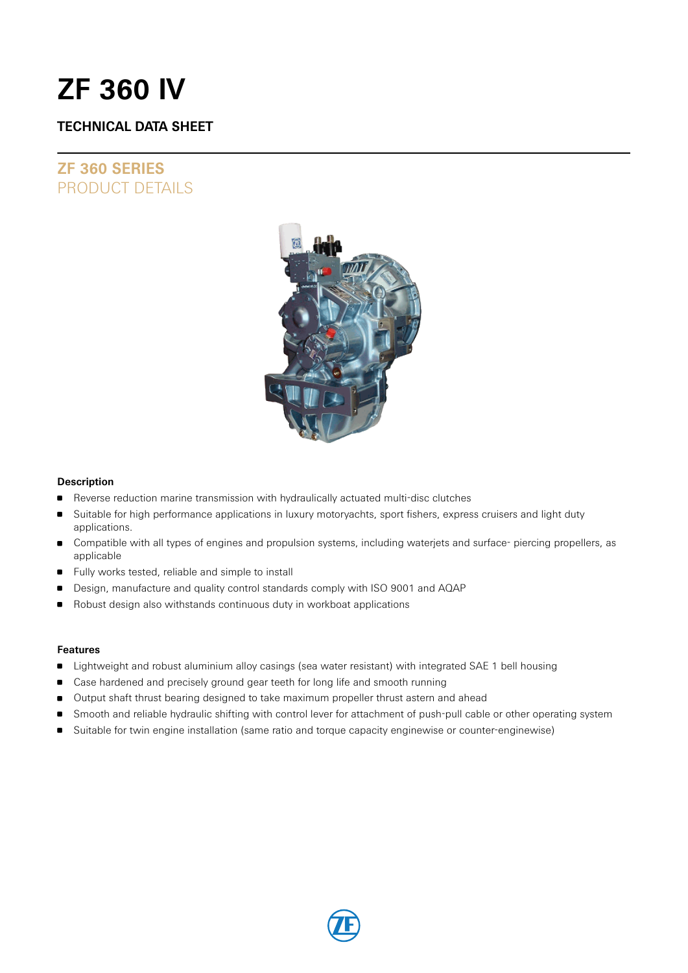# **ZF 360 IV**

### **TECHNICAL DATA SHEET**

## **ZF 360 SERIES** PRODUCT DETAILS



### **Description**

- Reverse reduction marine transmission with hydraulically actuated multi-disc clutches
- Suitable for high performance applications in luxury motoryachts, sport fishers, express cruisers and light duty applications.
- Compatible with all types of engines and propulsion systems, including waterjets and surface- piercing propellers, as applicable
- Fully works tested, reliable and simple to install
- Design, manufacture and quality control standards comply with ISO 9001 and AQAP
- **B** Robust design also withstands continuous duty in workboat applications

### **Features**

- **Example 1** Lightweight and robust aluminium alloy casings (sea water resistant) with integrated SAE 1 bell housing
- **Case hardened and precisely ground gear teeth for long life and smooth running**
- **Output shaft thrust bearing designed to take maximum propeller thrust astern and ahead**
- Smooth and reliable hydraulic shifting with control lever for attachment of push-pull cable or other operating system
- Suitable for twin engine installation (same ratio and torque capacity enginewise or counter-enginewise)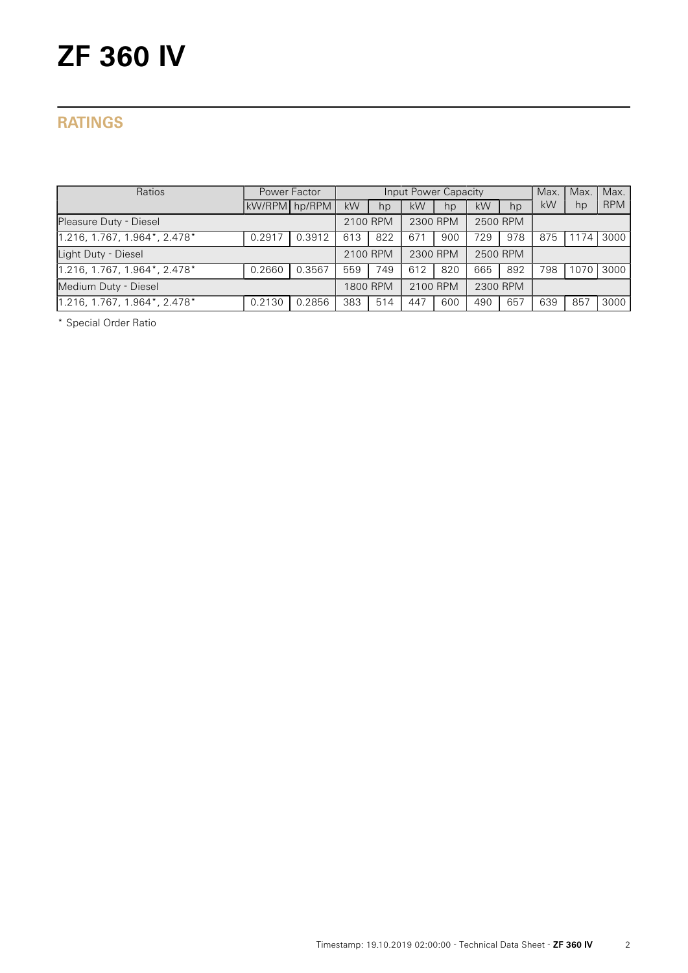# **ZF 360 IV**

## **RATINGS**

| Power Factor<br>Ratios                                |               |        |          | Input Power Capacity |          |          |          |          |     | Max. | Max.       |
|-------------------------------------------------------|---------------|--------|----------|----------------------|----------|----------|----------|----------|-----|------|------------|
|                                                       | kW/RPM hp/RPM |        | kW       | hp                   | kW       | hp       | kW       | hp       | kW  | hp   | <b>RPM</b> |
| Pleasure Duty - Diesel                                |               |        |          | 2100 RPM             |          | 2300 RPM |          | 2500 RPM |     |      |            |
| $1.216, 1.767, 1.964$ *, 2.478 <sup>*</sup>           | 0.2917        | 0.3912 | 613      | 822                  | 671      | 900      | 729      | 978      | 875 | 1174 | 3000       |
| Light Duty - Diesel                                   |               |        | 2100 RPM |                      | 2300 RPM |          | 2500 RPM |          |     |      |            |
| $1.216, 1.767, 1.964$ *, 2.478*                       | 0.2660        | 0.3567 | 559      | 749                  | 612      | 820      | 665      | 892      | 798 | 1070 | 3000       |
| Medium Duty - Diesel                                  |               |        |          | 2100 RPM<br>1800 RPM |          | 2300 RPM |          |          |     |      |            |
| $1.216, 1.767, 1.964$ *, 2.478 <sup>*</sup><br>0.2130 |               | 0.2856 | 383      | 514                  | 447      | 600      | 490      | 657      | 639 | 857  | 3000       |

\* Special Order Ratio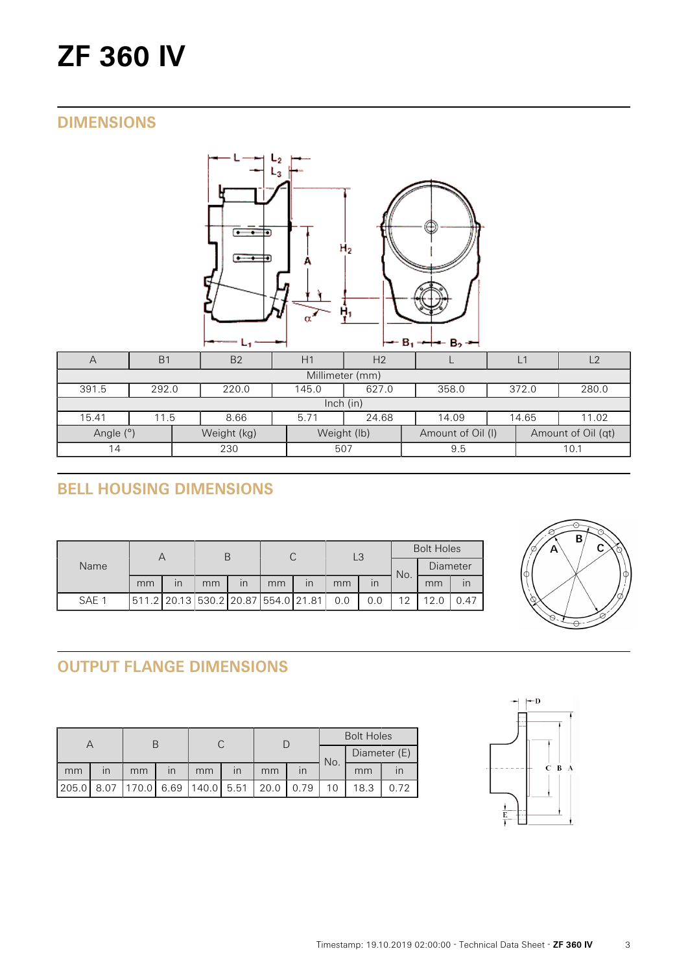# **ZF 360 IV**

## **DIMENSIONS**



| $\overline{A}$                                                                     | <b>B1</b>                                                | B <sub>2</sub> | H1    | H <sub>2</sub> |       |  | L1    | L <sub>2</sub> |  |  |  |
|------------------------------------------------------------------------------------|----------------------------------------------------------|----------------|-------|----------------|-------|--|-------|----------------|--|--|--|
| Millimeter (mm)                                                                    |                                                          |                |       |                |       |  |       |                |  |  |  |
| 391.5                                                                              | 292.0                                                    | 220.0          | 145.0 | 627.0          | 358.0 |  | 372.0 | 280.0          |  |  |  |
| lnch (in)                                                                          |                                                          |                |       |                |       |  |       |                |  |  |  |
| 15.41                                                                              | 11.02<br>14.65<br>5.71<br>24.68<br>14.09<br>11.5<br>8.66 |                |       |                |       |  |       |                |  |  |  |
| Angle (°)<br>Weight (kg)<br>Amount of Oil (qt)<br>Weight (lb)<br>Amount of Oil (I) |                                                          |                |       |                |       |  |       |                |  |  |  |
| 230<br>14                                                                          |                                                          | 507            |       | 9.5            |       |  | 10.1  |                |  |  |  |

# **BELL HOUSING DIMENSIONS**

| Name  | Α  |                                     |    |                |    |                         | L3  |              | <b>Bolt Holes</b> |          |  |
|-------|----|-------------------------------------|----|----------------|----|-------------------------|-----|--------------|-------------------|----------|--|
|       |    |                                     |    |                |    |                         |     |              | No.               | Diameter |  |
|       | mm | ın                                  | mm | $\overline{m}$ | mm | $\overline{\mathsf{I}}$ | mm  | $\mathsf{I}$ |                   | mm       |  |
| SAE 1 |    | 511.2 20.13 530.2 20.87 554.0 21.81 |    |                |    |                         | 0.0 | 0.0          | 10                | 12.      |  |



# **OUTPUT FLANGE DIMENSIONS**

|       |                         |                                    |                         |    |                         |      | <b>Bolt Holes</b> |     |              |      |  |
|-------|-------------------------|------------------------------------|-------------------------|----|-------------------------|------|-------------------|-----|--------------|------|--|
|       |                         |                                    |                         |    |                         |      |                   |     | Diameter (E) |      |  |
| mm    | $\mathsf{I} \mathsf{n}$ | mm                                 | $\overline{\mathsf{I}}$ | mm | $\overline{\mathsf{I}}$ | mm   |                   | No. | mm           |      |  |
| 205.0 |                         | 8.07   170.0   6.69   140.0   5.51 |                         |    |                         | 20.0 | 0.79              |     | 18.3         | 0.72 |  |